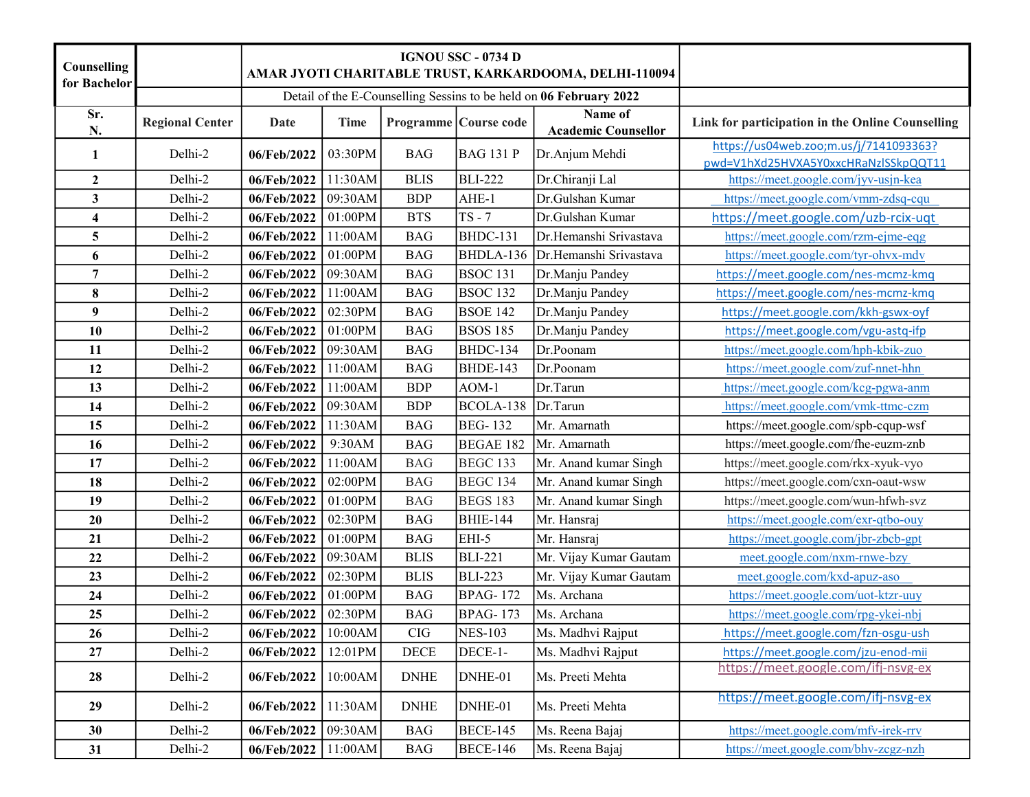| Counselling<br>for Bachelor |                        |                |             |             | <b>IGNOU SSC - 0734 D</b><br>AMAR JYOTI CHARITABLE TRUST, KARKARDOOMA, DELHI-110094 |                                                                    |                                                                                |
|-----------------------------|------------------------|----------------|-------------|-------------|-------------------------------------------------------------------------------------|--------------------------------------------------------------------|--------------------------------------------------------------------------------|
|                             |                        |                |             |             |                                                                                     | Detail of the E-Counselling Sessins to be held on 06 February 2022 |                                                                                |
| Sr.<br>N.                   | <b>Regional Center</b> | Date           | <b>Time</b> |             | Programme Course code                                                               | Name of<br><b>Academic Counsellor</b>                              | Link for participation in the Online Counselling                               |
| $\mathbf{1}$                | Delhi-2                | 06/Feb/2022    | 03:30PM     | <b>BAG</b>  | <b>BAG 131 P</b>                                                                    | Dr.Anjum Mehdi                                                     | https://us04web.zoo;m.us/j/7141093363?<br>pwd=V1hXd25HVXA5Y0xxcHRaNzlSSkpQQT11 |
| $\boldsymbol{2}$            | Delhi-2                | 06/Feb/2022    | 11:30AM     | <b>BLIS</b> | <b>BLI-222</b>                                                                      | Dr.Chiranji Lal                                                    | https://meet.google.com/jyv-usjn-kea                                           |
| $\mathbf{3}$                | Delhi-2                | 06/Feb/2022    | 09:30AM     | <b>BDP</b>  | AHE-1                                                                               | Dr.Gulshan Kumar                                                   | https://meet.google.com/vmm-zdsq-cqu                                           |
| $\overline{\mathbf{4}}$     | Delhi-2                | 06/Feb/2022    | 01:00PM     | <b>BTS</b>  | $TS - 7$                                                                            | Dr.Gulshan Kumar                                                   | https://meet.google.com/uzb-rcix-uqt                                           |
| 5                           | Delhi-2                | 06/Feb/2022    | 11:00AM     | <b>BAG</b>  | BHDC-131                                                                            | Dr.Hemanshi Srivastava                                             | https://meet.google.com/rzm-ejme-eqg                                           |
| 6                           | Delhi-2                | 06/Feb/2022    | 01:00PM     | <b>BAG</b>  | BHDLA-136                                                                           | Dr.Hemanshi Srivastava                                             | https://meet.google.com/tyr-ohvx-mdv                                           |
| 7                           | Delhi-2                | 06/Feb/2022    | 09:30AM     | <b>BAG</b>  | <b>BSOC 131</b>                                                                     | Dr.Manju Pandey                                                    | https://meet.google.com/nes-mcmz-kmq                                           |
| 8                           | Delhi-2                | 06/Feb/2022    | 11:00AM     | <b>BAG</b>  | <b>BSOC 132</b>                                                                     | Dr.Manju Pandey                                                    | https://meet.google.com/nes-mcmz-kmq                                           |
| 9                           | Delhi-2                | 06/Feb/2022    | 02:30PM     | <b>BAG</b>  | <b>BSOE 142</b>                                                                     | Dr.Manju Pandey                                                    | https://meet.google.com/kkh-gswx-oyf                                           |
| 10                          | Delhi-2                | 06/Feb/2022    | 01:00PM     | <b>BAG</b>  | <b>BSOS 185</b>                                                                     | Dr.Manju Pandey                                                    | https://meet.google.com/vgu-astq-ifp                                           |
| 11                          | Delhi-2                | 06/Feb/2022    | 09:30AM     | <b>BAG</b>  | BHDC-134                                                                            | Dr.Poonam                                                          | https://meet.google.com/hph-kbik-zuo                                           |
| 12                          | Delhi-2                | 06/Feb/2022    | 11:00AM     | <b>BAG</b>  | <b>BHDE-143</b>                                                                     | Dr.Poonam                                                          | https://meet.google.com/zuf-nnet-hhn                                           |
| 13                          | Delhi-2                | 06/Feb/2022    | 11:00AM     | <b>BDP</b>  | $AOM-1$                                                                             | Dr.Tarun                                                           | https://meet.google.com/kcg-pgwa-anm                                           |
| 14                          | Delhi-2                | 06/Feb/2022    | 09:30AM     | <b>BDP</b>  | BCOLA-138                                                                           | Dr.Tarun                                                           | https://meet.google.com/vmk-ttmc-czm                                           |
| 15                          | Delhi-2                | 06/Feb/2022    | 11:30AM     | <b>BAG</b>  | <b>BEG-132</b>                                                                      | Mr. Amarnath                                                       | https://meet.google.com/spb-cqup-wsf                                           |
| 16                          | Delhi-2                | 06/Feb/2022    | 9:30AM      | <b>BAG</b>  | BEGAE 182                                                                           | Mr. Amarnath                                                       | https://meet.google.com/fhe-euzm-znb                                           |
| 17                          | Delhi-2                | 06/Feb/2022    | 11:00AM     | <b>BAG</b>  | <b>BEGC 133</b>                                                                     | Mr. Anand kumar Singh                                              | https://meet.google.com/rkx-xyuk-vyo                                           |
| 18                          | Delhi-2                | 06/Feb/2022    | 02:00PM     | <b>BAG</b>  | <b>BEGC 134</b>                                                                     | Mr. Anand kumar Singh                                              | https://meet.google.com/cxn-oaut-wsw                                           |
| 19                          | Delhi-2                | 06/Feb/2022    | 01:00PM     | <b>BAG</b>  | <b>BEGS 183</b>                                                                     | Mr. Anand kumar Singh                                              | https://meet.google.com/wun-hfwh-svz                                           |
| 20                          | Delhi-2                | 06/Feb/2022    | 02:30PM     | <b>BAG</b>  | <b>BHIE-144</b>                                                                     | Mr. Hansraj                                                        | https://meet.google.com/exr-qtbo-ouy                                           |
| 21                          | Delhi-2                | 06/Feb/2022    | 01:00PM     | <b>BAG</b>  | EHI-5                                                                               | Mr. Hansraj                                                        | https://meet.google.com/jbr-zbcb-gpt                                           |
| 22                          | Delhi-2                | 06/Feb/2022    | 09:30AM     | <b>BLIS</b> | <b>BLI-221</b>                                                                      | Mr. Vijay Kumar Gautam                                             | meet.google.com/nxm-rnwe-bzy                                                   |
| 23                          | Delhi-2                | 06/Feb/2022    | 02:30PM     | <b>BLIS</b> | <b>BLI-223</b>                                                                      | Mr. Vijay Kumar Gautam                                             | meet.google.com/kxd-apuz-aso                                                   |
| 24                          | Delhi-2                | 06/Feb/2022    | 01:00PM     | <b>BAG</b>  | <b>BPAG-172</b>                                                                     | Ms. Archana                                                        | https://meet.google.com/uot-ktzr-uuy                                           |
| 25                          | Delhi-2                | 06/Feb/2022    | 02:30PM     | <b>BAG</b>  | <b>BPAG-173</b>                                                                     | Ms. Archana                                                        | https://meet.google.com/rpg-ykei-nbj                                           |
| 26                          | Delhi-2                | $06$ /Feb/2022 | 10:00AM     | ${\rm CIG}$ | <b>NES-103</b>                                                                      | Ms. Madhvi Rajput                                                  | https://meet.google.com/fzn-osgu-ush                                           |
| 27                          | Delhi-2                | 06/Feb/2022    | 12:01PM     | $\rm DECE$  | DECE-1-                                                                             | Ms. Madhvi Rajput                                                  | https://meet.google.com/jzu-enod-mii                                           |
| 28                          | Delhi-2                | 06/Feb/2022    | 10:00AM     | <b>DNHE</b> | DNHE-01                                                                             | Ms. Preeti Mehta                                                   | https://meet.google.com/ifj-nsvg-ex                                            |
| 29                          | Delhi-2                | 06/Feb/2022    | 11:30AM     | <b>DNHE</b> | DNHE-01                                                                             | Ms. Preeti Mehta                                                   | https://meet.google.com/ifj-nsvg-ex                                            |
| 30                          | Delhi-2                | 06/Feb/2022    | 09:30AM     | <b>BAG</b>  | <b>BECE-145</b>                                                                     | Ms. Reena Bajaj                                                    | https://meet.google.com/mfv-irek-rrv                                           |
| 31                          | Delhi-2                | 06/Feb/2022    | 11:00AM     | <b>BAG</b>  | <b>BECE-146</b>                                                                     | Ms. Reena Bajaj                                                    | https://meet.google.com/bhv-zcgz-nzh                                           |